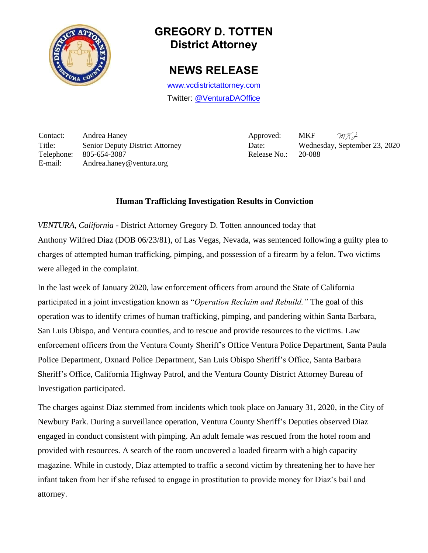

## **GREGORY D. TOTTEN District Attorney**

## **NEWS RELEASE**

[www.vcdistrictattorney.com](http://www.vcdistrictattorney.com/) Twitter: [@VenturaDAOffice](https://twitter.com/venturadaoffice)

Contact: Andrea Haney Approved: MKF Title: Senior Deputy District Attorney Date: Wednesday, September 23, 2020 Telephone: 805-654-3087 Release No.: 20-088 E-mail: Andrea.haney@ventura.org

 $MKA$ 

## **Human Trafficking Investigation Results in Conviction**

*VENTURA, California* - District Attorney Gregory D. Totten announced today that Anthony Wilfred Diaz (DOB 06/23/81), of Las Vegas, Nevada, was sentenced following a guilty plea to charges of attempted human trafficking, pimping, and possession of a firearm by a felon. Two victims were alleged in the complaint.

In the last week of January 2020, law enforcement officers from around the State of California participated in a joint investigation known as "*Operation Reclaim and Rebuild."* The goal of this operation was to identify crimes of human trafficking, pimping, and pandering within Santa Barbara, San Luis Obispo, and Ventura counties, and to rescue and provide resources to the victims. Law enforcement officers from the Ventura County Sheriff's Office Ventura Police Department, Santa Paula Police Department, Oxnard Police Department, San Luis Obispo Sheriff's Office, Santa Barbara Sheriff's Office, California Highway Patrol, and the Ventura County District Attorney Bureau of Investigation participated.

The charges against Diaz stemmed from incidents which took place on January 31, 2020, in the City of Newbury Park. During a surveillance operation, Ventura County Sheriff's Deputies observed Diaz engaged in conduct consistent with pimping. An adult female was rescued from the hotel room and provided with resources. A search of the room uncovered a loaded firearm with a high capacity magazine. While in custody, Diaz attempted to traffic a second victim by threatening her to have her infant taken from her if she refused to engage in prostitution to provide money for Diaz's bail and attorney.